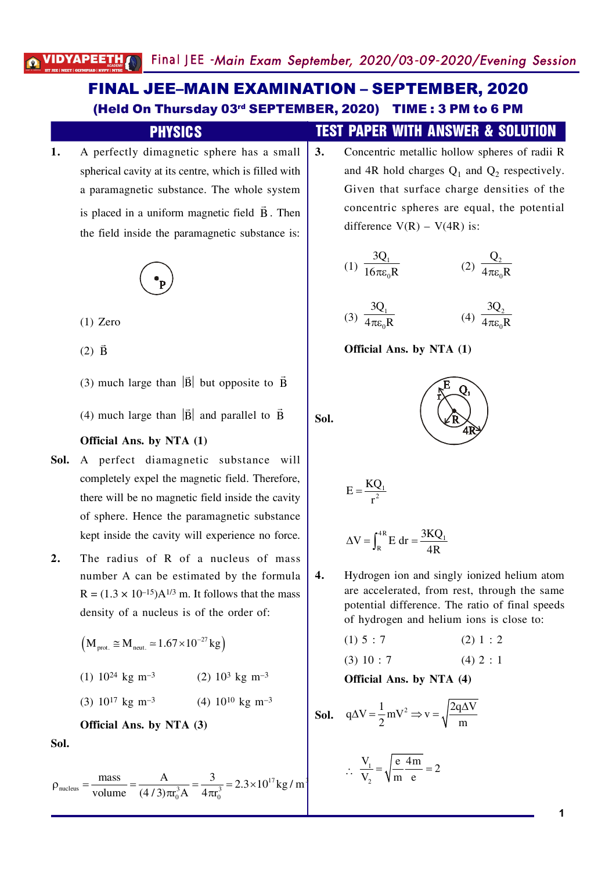# **FINAL JEE-MAIN EXAMINATION - SEPTEMBER, 2020** (Held On Thursday 03rd SEPTEMBER, 2020) TIME: 3 PM to 6 PM

### **PHYSICS**

A perfectly dimagnetic sphere has a small  $1.$ spherical cavity at its centre, which is filled with a paramagnetic substance. The whole system is placed in a uniform magnetic field  $\vec{B}$ . Then the field inside the paramagnetic substance is:



 $(1)$  Zero

 $(2)$   $\vec{B}$ 

(3) much large than  $|\vec{B}|$  but opposite to  $\vec{B}$ 

(4) much large than  $|\vec{B}|$  and parallel to  $\vec{B}$ 

#### Official Ans. by NTA (1)

- Sol. A perfect diamagnetic substance will completely expel the magnetic field. Therefore, there will be no magnetic field inside the cavity of sphere. Hence the paramagnetic substance kept inside the cavity will experience no force.
- $2.$ The radius of R of a nucleus of mass number A can be estimated by the formula  $R = (1.3 \times 10^{-15})A^{1/3}$  m. It follows that the mass density of a nucleus is of the order of:

$$
(M_{\text{prot.}} \approx M_{\text{neut.}} \approx 1.67 \times 10^{-27} \text{ kg})
$$
  
(1) 10<sup>24</sup> kg m<sup>-3</sup> (2) 10<sup>3</sup> kg m<sup>-3</sup>  
(3) 10<sup>17</sup> kg m<sup>-3</sup> (4) 10<sup>10</sup> kg m<sup>-3</sup>

**Official Ans. by NTA (3)** 

Sol.

$$
\rho_{\text{nucleus}} = \frac{\text{mass}}{\text{volume}} = \frac{A}{(4/3)\pi r_0^3 A} = \frac{3}{4\pi r_0^3} = 2.3 \times 10^{17} \text{kg/m}
$$

# **TEST PAPER WITH ANSWER & SOLUTION**

 $3.$ Concentric metallic hollow spheres of radii R and 4R hold charges  $Q_1$  and  $Q_2$  respectively. Given that surface charge densities of the concentric spheres are equal, the potential difference  $V(R) - V(4R)$  is:

(1) 
$$
\frac{3Q_1}{16\pi\epsilon_0 R}
$$
 (2)  $\frac{Q_2}{4\pi\epsilon_0 R}$ 

$$
(3) \frac{3Q_1}{4\pi\varepsilon_0 R} \qquad (4) \frac{3Q_2}{4\pi\varepsilon_0 R}
$$

Official Ans. by NTA (1)

Sol.



$$
E=\frac{KQ_{\scriptscriptstyle 1}}{r^{\scriptscriptstyle 2}}
$$

$$
\Delta V = \int_{R}^{4R} E dr = \frac{3KQ_{1}}{4R}
$$

 $\boldsymbol{4}$ . Hydrogen ion and singly ionized helium atom are accelerated, from rest, through the same potential difference. The ratio of final speeds of hydrogen and helium ions is close to:

$$
(1) 5 : 7 \t(2) 1 : 2
$$

$$
(3) 10 : 7 \t(4) 2 : 1
$$

Official Ans. by NTA (4)

**Sol.** 
$$
q\Delta V = \frac{1}{2} mV^2 \Rightarrow v = \sqrt{\frac{2q\Delta V}{m}}
$$

$$
\therefore \frac{V_1}{V_2} = \sqrt{\frac{e}{m} \frac{4m}{e}} = 2
$$

1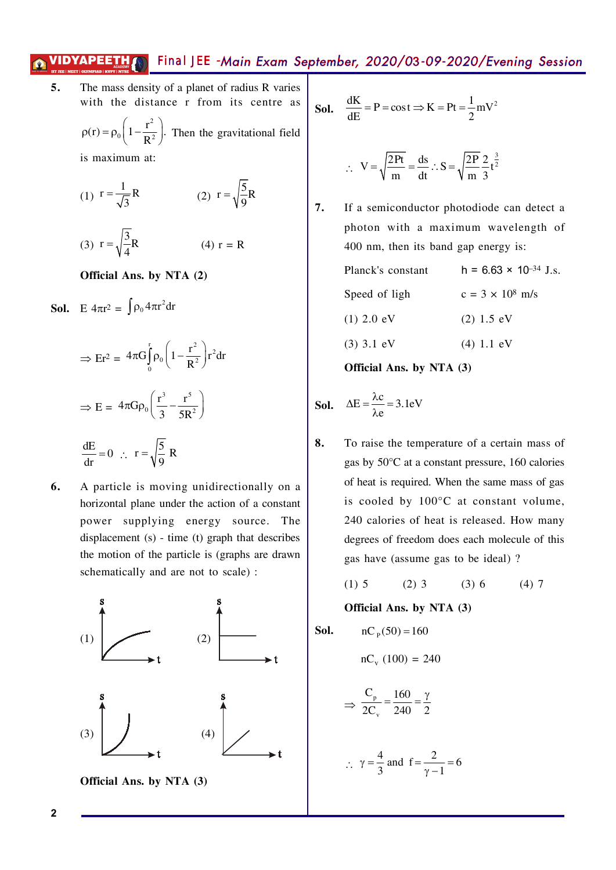5. The mass density of a planet of radius R varies with the distance r from its centre as

$$
\rho(r) = \rho_0 \left( 1 - \frac{r^2}{R^2} \right).
$$
 Then the gravitational field  
is maximum at:

(1) 
$$
r = \frac{1}{\sqrt{3}}R
$$
 (2)  $r = \sqrt{\frac{5}{9}}R$ 

(3)  $r = \sqrt{\frac{3}{4}}R$  $(4) r = R$ 

Official Ans. by NTA (2)

**Sol.** E  $4\pi r^2 = \int \rho_0 4\pi r^2 dr$ 

$$
\Rightarrow \text{Er}^2 = 4\pi G \int_0^r \rho_0 \left( 1 - \frac{r^2}{R^2} \right) r^2 dr
$$

$$
\Rightarrow E = 4\pi G \rho_0 \left( \frac{r^3}{3} - \frac{r^5}{5R^2} \right)
$$

$$
\frac{dE}{dr} = 0 \quad \therefore \quad r = \sqrt{\frac{5}{9}} R
$$

A particle is moving unidirectionally on a 6. horizontal plane under the action of a constant power supplying energy source. The displacement  $(s)$  - time  $(t)$  graph that describes the motion of the particle is (graphs are drawn schematically and are not to scale) :



**Sol.** 
$$
\frac{dK}{dE} = P = \cos t \Rightarrow K = Pt = \frac{1}{2} mV^2
$$

$$
V = \sqrt{\frac{2Pt}{m}} = \frac{ds}{dt} \therefore S = \sqrt{\frac{2P}{m}} \frac{2}{3} t^{\frac{3}{2}}
$$

7. If a semiconductor photodiode can detect a photon with a maximum wavelength of 400 nm, then its band gap energy is:

| <b>Official Ans. by NTA (3)</b> |                                          |
|---------------------------------|------------------------------------------|
| $(3)$ 3.1 eV                    | $(4) 1.1$ eV                             |
| $(1)$ 2.0 eV                    | $(2)$ 1.5 eV                             |
| Speed of ligh                   | $c = 3 \times 10^8$ m/s                  |
| Planck's constant               | h = 6.63 $\times$ 10 <sup>-34</sup> J.s. |

**Sol.** 
$$
\Delta E = \frac{\lambda c}{\lambda e} = 3.1 \text{eV}
$$

8. To raise the temperature of a certain mass of gas by 50°C at a constant pressure, 160 calories of heat is required. When the same mass of gas is cooled by 100°C at constant volume, 240 calories of heat is released. How many degrees of freedom does each molecule of this gas have (assume gas to be ideal)?

$$
(1) 5 \t(2) 3 \t(3) 6 \t(4) 7
$$

Official Ans. by NTA (3)

**Sol.**

\n
$$
nC_{p}(50) = 160
$$
\n
$$
nC_{v}(100) = 240
$$
\n
$$
\Rightarrow \frac{C_{p}}{2C_{v}} = \frac{160}{240} = \frac{\gamma}{2}
$$
\n
$$
\therefore \gamma = \frac{4}{3} \text{ and } f = \frac{2}{\gamma - 1} = 6
$$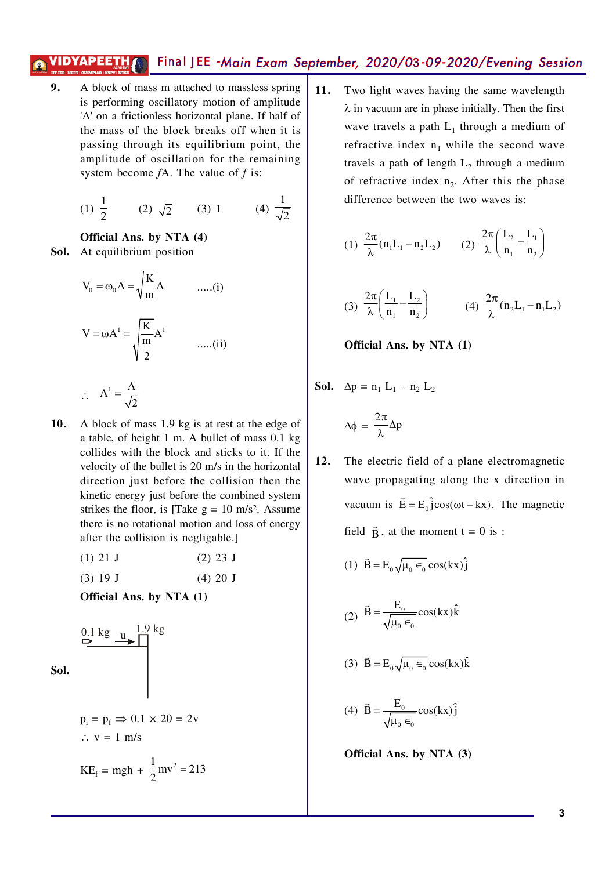9. A block of mass m attached to massless spring is performing oscillatory motion of amplitude 'A' on a frictionless horizontal plane. If half of the mass of the block breaks off when it is passing through its equilibrium point, the amplitude of oscillation for the remaining system become  $fA$ . The value of  $f$  is:

(1) 
$$
\frac{1}{2}
$$
 (2)  $\sqrt{2}$  (3) 1 (4)  $\frac{1}{\sqrt{2}}$ 

#### Official Ans. by NTA (4)

Sol. At equilibrium position

$$
V_0 = \omega_0 A = \sqrt{\frac{K}{m}} A \qquad \qquad \dots (i)
$$

$$
V = \omega A^1 = \sqrt{\frac{K}{\frac{m}{2}}} A^1 \qquad \qquad \dots (ii)
$$

$$
\therefore A^1 = \frac{A}{\sqrt{2}}
$$

- A block of mass 1.9 kg is at rest at the edge of  $10.$ a table, of height 1 m. A bullet of mass 0.1 kg collides with the block and sticks to it. If the velocity of the bullet is 20 m/s in the horizontal direction just before the collision then the kinetic energy just before the combined system strikes the floor, is [Take  $g = 10$  m/s<sup>2</sup>. Assume there is no rotational motion and loss of energy after the collision is negligable.]
	- $(1)$  21 J  $(2)$  23 J
	- $(3) 19 J$  $(4) 20 J$

Official Ans. by NTA (1)

$$
\begin{array}{c}\n 0.1 \text{ kg} \\
 \hline\n \end{array}
$$
\n**Sol.**

$$
p_i = p_f \implies 0.1 \times 20 = 2v
$$
  
∴ v = 1 m/s  

$$
KE_f = mgh + \frac{1}{2}mv^2 = 213
$$

 $11.$ Two light waves having the same wavelength  $\lambda$  in vacuum are in phase initially. Then the first wave travels a path  $L_1$  through a medium of refractive index  $n_1$  while the second wave travels a path of length  $L_2$  through a medium of refractive index  $n_2$ . After this the phase difference between the two waves is:

(1) 
$$
\frac{2\pi}{\lambda} (n_1 L_1 - n_2 L_2)
$$
 (2)  $\frac{2\pi}{\lambda} \left( \frac{L_2}{n_1} - \frac{L_1}{n_2} \right)$ 

(3) 
$$
\frac{2\pi}{\lambda} \left( \frac{L_1}{n_1} - \frac{L_2}{n_2} \right)
$$
 (4)  $\frac{2\pi}{\lambda} (n_2 L_1 - n_1 L_2)$ 

Official Ans. by NTA (1)

**Sol.** 
$$
\Delta p = n_1 L_1 - n_2 L_2
$$

$$
\Delta \phi = \frac{2\pi}{\lambda} \Delta p
$$

 $12.$ The electric field of a plane electromagnetic wave propagating along the x direction in vacuum is  $\vec{E} = E_0 \hat{j} \cos(\omega t - kx)$ . The magnetic field  $\vec{B}$ , at the moment  $t = 0$  is :

(1) 
$$
\vec{B} = E_0 \sqrt{\mu_0 \epsilon_0} \cos(kx) \hat{j}
$$

$$
(2) \ \vec{B} = \frac{E_0}{\sqrt{\mu_0 \epsilon_0}} \cos(kx) \hat{k}
$$

$$
(3) \ \vec{B} = E_0 \sqrt{\mu_0 \epsilon_0} \cos(kx) \hat{k}
$$

$$
(4) \ \vec{B} = \frac{E_0}{\sqrt{\mu_0 \epsilon_0}} \cos(kx) \hat{j}
$$

Official Ans. by NTA (3)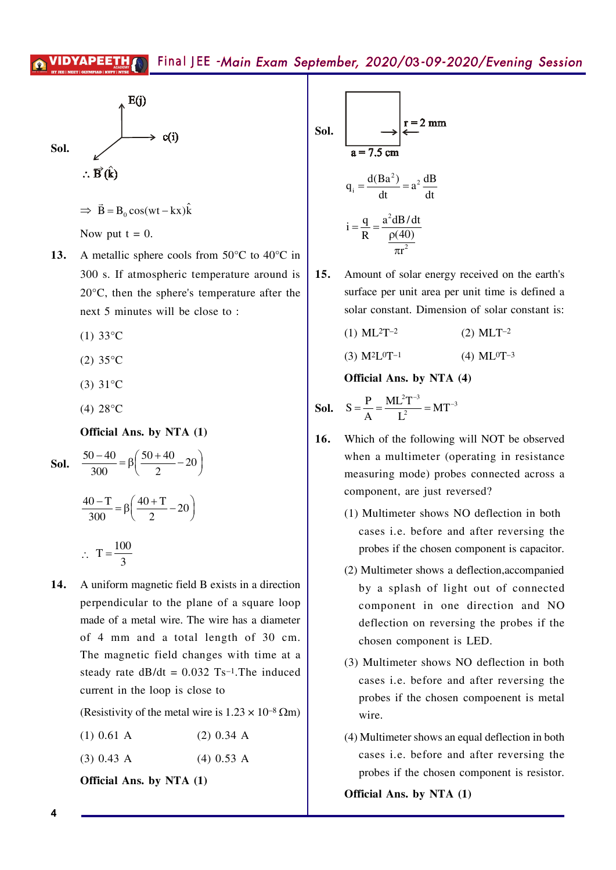$E(i)$  $c(i)$ Sol.  $\therefore \vec{B}(\hat{k})$ 

$$
\Rightarrow \vec{B} = B_0 \cos(wt - kx)\hat{k}
$$

Now put  $t = 0$ .

- 13. A metallic sphere cools from  $50^{\circ}$ C to  $40^{\circ}$ C in 300 s. If atmospheric temperature around is  $20^{\circ}$ C, then the sphere's temperature after the next 5 minutes will be close to:
	- $(1) 33^{\circ}$ C
	- $(2) 35^{\circ}$ C
	- $(3) 31^{\circ}C$
	- (4)  $28^{\circ}$ C

Official Ans. by NTA (1)

**Sol.** 
$$
\frac{50 - 40}{300} = \beta \left( \frac{50 + 40}{2} - 20 \right)
$$

$$
\frac{40 - T}{300} = \beta \left( \frac{40 + T}{2} - 20 \right)
$$

$$
\therefore T = \frac{100}{3}
$$

14. A uniform magnetic field B exists in a direction perpendicular to the plane of a square loop made of a metal wire. The wire has a diameter of 4 mm and a total length of 30 cm. The magnetic field changes with time at a steady rate  $dB/dt = 0.032$  Ts<sup>-1</sup>. The induced current in the loop is close to

(Resistivity of the metal wire is  $1.23 \times 10^{-8}$  Qm)

- $(2)$  0.34 A  $(1)$  0.61 A
- $(4)$  0.53 A  $(3)$  0.43 A

Official Ans. by NTA (1)

Sol.

\n
$$
\begin{array}{c}\n\text{Sol.} \\
a = 7.5 \text{ cm} \\
q_i = \frac{d(Ba^2)}{dt} = a^2 \frac{dB}{dt} \\
i = \frac{q}{R} = \frac{a^2 dB/dt}{p(40)} \\
\frac{p(40)}{\pi r^2}\n\end{array}
$$

- $15.$ Amount of solar energy received on the earth's surface per unit area per unit time is defined a solar constant. Dimension of solar constant is:
	- $(1) ML<sup>2</sup>T<sup>-2</sup>$  $(2)$  MLT<sup>-2</sup>
	- $(3) M^2L^0T^{-1}$  $(4)$  ML<sup>0</sup>T<sup>-3</sup>

Official Ans. by NTA (4)

**Sol.** 
$$
S = \frac{P}{A} = \frac{ML^2T^{-3}}{L^2} = MT^{-3}
$$

- $16.$ Which of the following will NOT be observed when a multimeter (operating in resistance) measuring mode) probes connected across a component, are just reversed?
	- (1) Multimeter shows NO deflection in both cases i.e. before and after reversing the probes if the chosen component is capacitor.
	- (2) Multimeter shows a deflection, accompanied by a splash of light out of connected component in one direction and NO deflection on reversing the probes if the chosen component is LED.
	- (3) Multimeter shows NO deflection in both cases *i.e.* before and after reversing the probes if the chosen compoenent is metal wire.
	- (4) Multimeter shows an equal deflection in both cases *i.e.* before and after reversing the probes if the chosen component is resistor.

Official Ans. by NTA (1)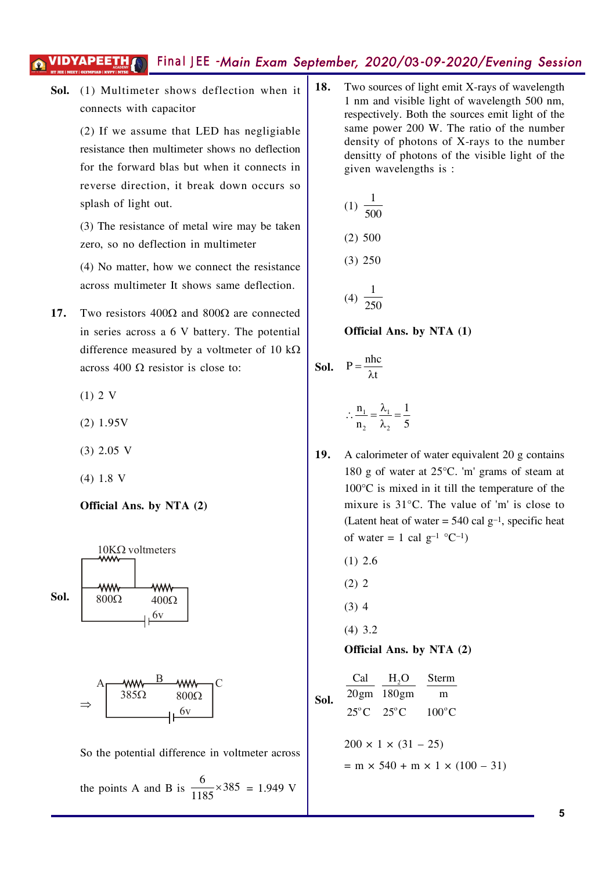Sol. (1) Multimeter shows deflection when it connects with capacitor

> (2) If we assume that LED has negligiable resistance then multimeter shows no deflection for the forward blas but when it connects in reverse direction, it break down occurs so splash of light out.

> (3) The resistance of metal wire may be taken zero, so no deflection in multimeter

> (4) No matter, how we connect the resistance across multimeter It shows same deflection.

- Two resistors  $400\Omega$  and  $800\Omega$  are connected  $17<sub>1</sub>$ in series across a 6 V battery. The potential difference measured by a voltmeter of 10 k $\Omega$ across 400  $\Omega$  resistor is close to:
	- $(1) 2 V$
	- $(2) 1.95V$
	- $(3)$  2.05 V
	- $(4) 1.8 V$

### Official Ans. by NTA (2)



the points A and B is  $\frac{6}{1185} \times 385 = 1.949$  V

18. Two sources of light emit X-rays of wavelength 1 nm and visible light of wavelength 500 nm, respectively. Both the sources emit light of the same power 200 W. The ratio of the number density of photons of X-rays to the number density of photons of the visible light of the given wavelengths is :

(1) 
$$
\frac{1}{500}
$$
  
(2) 500  
(3) 250  
(4)  $\frac{1}{250}$ 

Official Ans. by NTA (1)

**Sol.** 
$$
P = \frac{nhc}{\lambda t}
$$
  

$$
\therefore \frac{n_1}{n_2} = \frac{\lambda_1}{\lambda_2} = \frac{1}{5}
$$

- A calorimeter of water equivalent 20 g contains 19. 180 g of water at  $25^{\circ}$ C. 'm' grams of steam at  $100^{\circ}$ C is mixed in it till the temperature of the mixure is 31°C. The value of 'm' is close to (Latent heat of water =  $540$  cal g<sup>-1</sup>, specific heat of water = 1 cal  $g^{-1}$  °C<sup>-1</sup>)
	- $(1)$  2.6
	- $(2) 2$
	- $(3)$  4
	- $(4)$  3.2

Official Ans. by NTA (2)

**Sol.** 
$$
\frac{\text{Cal}}{20 \text{gm}} \frac{H_2\text{O}}{180 \text{gm}} \frac{\text{Sterm}}{\text{m}}
$$
  
25°C 25°C 100°C  
200 × 1 × (31 – 25)  
= m × 540 + m × 1 × (100 – 31)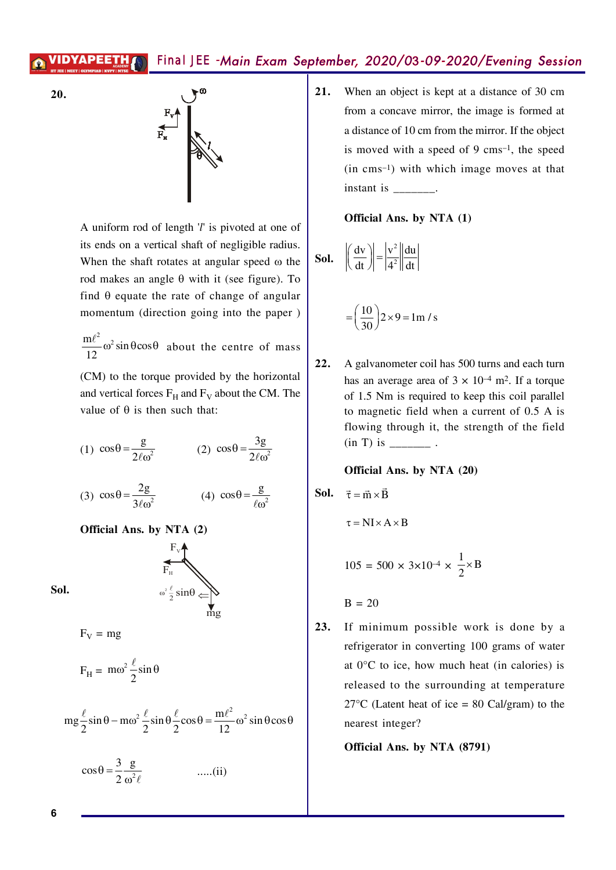



A uniform rod of length  $T$  is pivoted at one of its ends on a vertical shaft of negligible radius. When the shaft rotates at angular speed  $\omega$  the rod makes an angle  $\theta$  with it (see figure). To find  $\theta$  equate the rate of change of angular momentum (direction going into the paper)

 $\frac{m\ell^2}{12}\omega^2 \sin\theta \cos\theta$  about the centre of mass

(CM) to the torque provided by the horizontal and vertical forces  $F_H$  and  $F_V$  about the CM. The value of  $\theta$  is then such that:

(1) 
$$
\cos\theta = \frac{g}{2\ell\omega^2}
$$
 (2)  $\cos\theta = \frac{3g}{2\ell\omega^2}$ 

(3) 
$$
\cos \theta = \frac{2g}{3\ell \omega^2}
$$
 (4)  $\cos \theta = \frac{g}{\ell \omega^2}$ 

 $\omega^2 \frac{\ell}{2} \sin \theta$ 

Official Ans. by NTA (2)

Sol.

 $F_V = mg$ 

$$
F_H = m\omega^2 \frac{\ell}{2} \sin \theta
$$

$$
mg\frac{\ell}{2}\sin\theta - m\omega^2\frac{\ell}{2}\sin\theta\frac{\ell}{2}\cos\theta = \frac{m\ell^2}{12}\omega^2\sin\theta\cos\theta
$$

$$
\cos \theta = \frac{3}{2} \frac{g}{\omega^2 \ell} \qquad \qquad \dots (ii)
$$

When an object is kept at a distance of 30 cm  $21.$ from a concave mirror, the image is formed at a distance of 10 cm from the mirror. If the object is moved with a speed of 9 cms<sup>-1</sup>, the speed  $(in \, cm s^{-1})$  with which image moves at that instant is finite to the set of the set of the set of the set of the set of the set of the set of the set of the set of the set of the set of the set of the set of the set of the set of the set of the set of the set of the

Official Ans. by NTA (1)

**Sol.** 
$$
\left| \left( \frac{dv}{dt} \right) \right| = \left| \frac{v^2}{4^2} \right| \left| \frac{du}{dt} \right|
$$

$$
= \left(\frac{10}{30}\right) 2 \times 9 = 1 \text{ m/s}
$$

 $22.$ A galvanometer coil has 500 turns and each turn has an average area of  $3 \times 10^{-4}$  m<sup>2</sup>. If a torque of 1.5 Nm is required to keep this coil parallel to magnetic field when a current of 0.5 A is flowing through it, the strength of the field 

### Official Ans. by NTA (20)

$$
\quad \text{Sol.} \quad \vec{\tau} = \vec{m} \times \vec{B}
$$

$$
\tau = NI \times A \times B
$$

$$
105 = 500 \times 3 \times 10^{-4} \times \frac{1}{2} \times B
$$

 $B = 20$ 

 $23.$ If minimum possible work is done by a refrigerator in converting 100 grams of water at  $0^{\circ}$ C to ice, how much heat (in calories) is released to the surrounding at temperature  $27^{\circ}$ C (Latent heat of ice = 80 Cal/gram) to the nearest integer?

Official Ans. by NTA (8791)

6